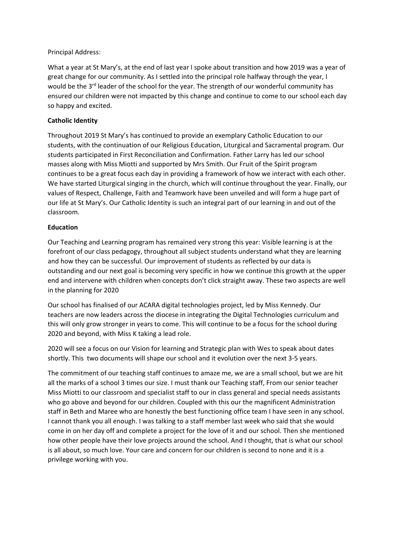#### Principal Address:

What a year at St Mary's, at the end of last year I spoke about transition and how 2019 was a year of great change for our community. As I settled into the principal role halfway through the year, I would be the 3<sup>rd</sup> leader of the school for the year. The strength of our wonderful community has ensured our children were not impacted by this change and continue to come to our school each day so happy and excited.

# **Catholic Identity**

Throughout 2019 St Mary's has continued to provide an exemplary Catholic Education to our students, with the continuation of our Religious Education, Liturgical and Sacramental program. Our students participated in First Reconciliation and Confirmation. Father Larry has led our school masses along with Miss Miotti and supported by Mrs Smith. Our Fruit of the Spirit program continues to be a great focus each day in providing a framework of how we interact with each other. We have started Liturgical singing in the church, which will continue throughout the year. Finally, our values of Respect, Challenge, Faith and Teamwork have been unveiled and will form a huge part of our life at St Mary's. Our Catholic Identity is such an integral part of our learning in and out of the classroom.

## **Education**

Our Teaching and Learning program has remained very strong this year: Visible learning is at the forefront of our class pedagogy, throughout all subject students understand what they are learning and how they can be successful. Our improvement of students as reflected by our data is outstanding and our next goal is becoming very specific in how we continue this growth at the upper end and intervene with children when concepts don't click straight away. These two aspects are well in the planning for 2020

Our school has finalised of our ACARA digital technologies project, led by Miss Kennedy. Our teachers are now leaders across the diocese in integrating the Digital Technologies curriculum and this will only grow stronger in years to come. This will continue to be a focus for the school during 2020 and beyond, with Miss K taking a lead role.

2020 will see a focus on our Vision for learning and Strategic plan with Wes to speak about dates shortly. This two documents will shape our school and it evolution over the next 3-5 years.

The commitment of our teaching staff continues to amaze me, we are a small school, but we are hit all the marks of a school 3 times our size. I must thank our Teaching staff, From our senior teacher Miss Miotti to our classroom and specialist staff to our in class general and special needs assistants who go above and beyond for our children. Coupled with this our the magnificent Administration staff in Beth and Maree who are honestly the best functioning office team I have seen in any school. I cannot thank you all enough. I was talking to a staff member last week who said that she would come in on her day off and complete a project for the love of it and our school. Then she mentioned how other people have their love projects around the school. And I thought, that is what our school is all about, so much love. Your care and concern for our children is second to none and it is a privilege working with you.